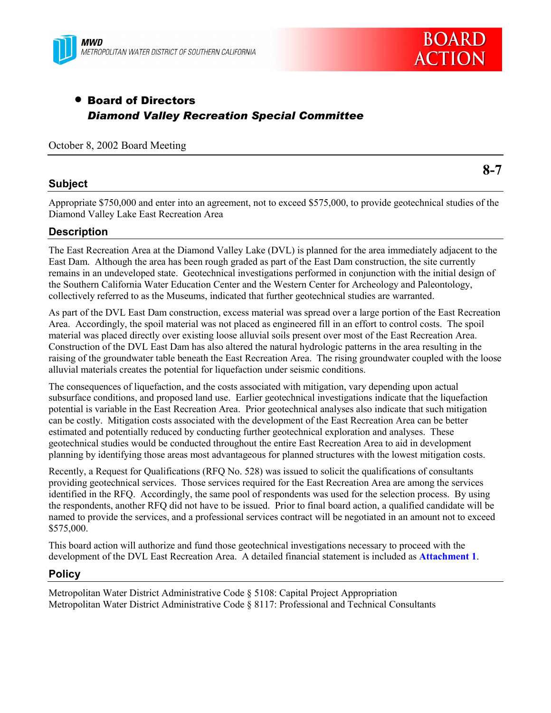



# • Board of Directors *Diamond Valley Recreation Special Committee*

## October 8, 2002 Board Meeting

## **Subject**

**8-7**

Appropriate \$750,000 and enter into an agreement, not to exceed \$575,000, to provide geotechnical studies of the Diamond Valley Lake East Recreation Area

## **Description**

The East Recreation Area at the Diamond Valley Lake (DVL) is planned for the area immediately adjacent to the East Dam. Although the area has been rough graded as part of the East Dam construction, the site currently remains in an undeveloped state. Geotechnical investigations performed in conjunction with the initial design of the Southern California Water Education Center and the Western Center for Archeology and Paleontology, collectively referred to as the Museums, indicated that further geotechnical studies are warranted.

As part of the DVL East Dam construction, excess material was spread over a large portion of the East Recreation Area. Accordingly, the spoil material was not placed as engineered fill in an effort to control costs. The spoil material was placed directly over existing loose alluvial soils present over most of the East Recreation Area. Construction of the DVL East Dam has also altered the natural hydrologic patterns in the area resulting in the raising of the groundwater table beneath the East Recreation Area. The rising groundwater coupled with the loose alluvial materials creates the potential for liquefaction under seismic conditions.

The consequences of liquefaction, and the costs associated with mitigation, vary depending upon actual subsurface conditions, and proposed land use. Earlier geotechnical investigations indicate that the liquefaction potential is variable in the East Recreation Area. Prior geotechnical analyses also indicate that such mitigation can be costly. Mitigation costs associated with the development of the East Recreation Area can be better estimated and potentially reduced by conducting further geotechnical exploration and analyses. These geotechnical studies would be conducted throughout the entire East Recreation Area to aid in development planning by identifying those areas most advantageous for planned structures with the lowest mitigation costs.

Recently, a Request for Qualifications (RFQ No. 528) was issued to solicit the qualifications of consultants providing geotechnical services. Those services required for the East Recreation Area are among the services identified in the RFQ. Accordingly, the same pool of respondents was used for the selection process. By using the respondents, another RFQ did not have to be issued. Prior to final board action, a qualified candidate will be named to provide the services, and a professional services contract will be negotiated in an amount not to exceed \$575,000.

This board action will authorize and fund those geotechnical investigations necessary to proceed with the development of the DVL East Recreation Area. A detailed financial statement is included as **Attachment 1**.

## **Policy**

Metropolitan Water District Administrative Code ß 5108: Capital Project Appropriation Metropolitan Water District Administrative Code ß 8117: Professional and Technical Consultants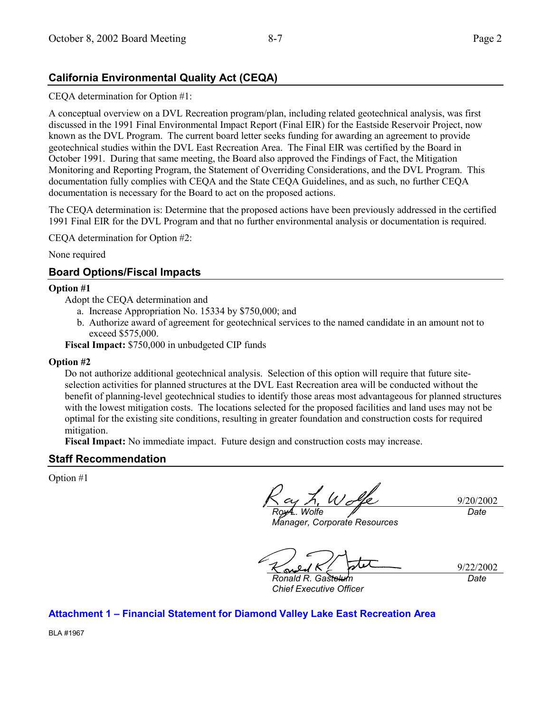## **California Environmental Quality Act (CEQA)**

## CEQA determination for Option #1:

A conceptual overview on a DVL Recreation program/plan, including related geotechnical analysis, was first discussed in the 1991 Final Environmental Impact Report (Final EIR) for the Eastside Reservoir Project, now known as the DVL Program. The current board letter seeks funding for awarding an agreement to provide geotechnical studies within the DVL East Recreation Area. The Final EIR was certified by the Board in October 1991. During that same meeting, the Board also approved the Findings of Fact, the Mitigation Monitoring and Reporting Program, the Statement of Overriding Considerations, and the DVL Program. This documentation fully complies with CEQA and the State CEQA Guidelines, and as such, no further CEQA documentation is necessary for the Board to act on the proposed actions.

The CEQA determination is: Determine that the proposed actions have been previously addressed in the certified 1991 Final EIR for the DVL Program and that no further environmental analysis or documentation is required.

CEQA determination for Option #2:

None required

## **Board Options/Fiscal Impacts**

#### **Option #1**

Adopt the CEQA determination and

- a. Increase Appropriation No. 15334 by \$750,000; and
- b. Authorize award of agreement for geotechnical services to the named candidate in an amount not to exceed \$575,000.

**Fiscal Impact:** \$750,000 in unbudgeted CIP funds

#### **Option #2**

Do not authorize additional geotechnical analysis. Selection of this option will require that future siteselection activities for planned structures at the DVL East Recreation area will be conducted without the benefit of planning-level geotechnical studies to identify those areas most advantageous for planned structures with the lowest mitigation costs. The locations selected for the proposed facilities and land uses may not be optimal for the existing site conditions, resulting in greater foundation and construction costs for required mitigation.

**Fiscal Impact:** No immediate impact. Future design and construction costs may increase.

## **Staff Recommendation**

Option #1

9/20/2002 *Roy L. Wolfe Date*

*Manager, Corporate Resources*

9/22/2002 *Date*

**Ronald R. Gastel** *Chief Executive Officer*

**Attachment 1 - Financial Statement for Diamond Valley Lake East Recreation Area** 

BLA #1967